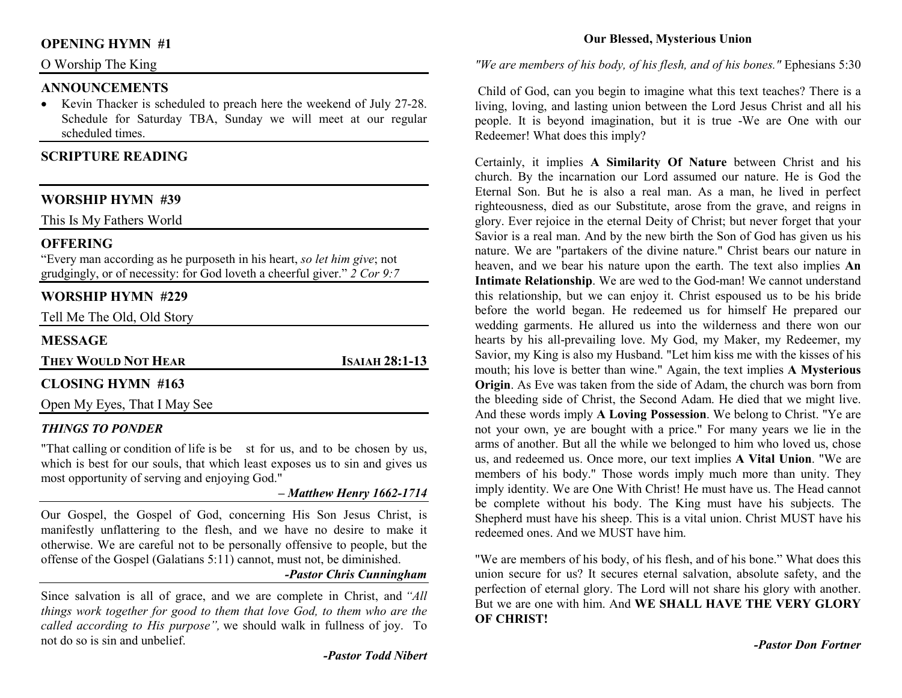## **OPENING HYMN #1**

## O Worship The King

#### **ANNOUNCEMENTS**

 • Kevin Thacker is scheduled to preach here the weekend of July 27-28. Schedule for Saturday TBA, Sunday we will meet at our regular scheduled times.

## **SCRIPTURE READING**

## **WORSHIP HYMN #39**

This Is My Fathers World

#### **OFFERING**

 "Every man according as he purposeth in his heart, *so let him give*; not grudgingly, or of necessity: for God loveth a cheerful giver." *2 Cor 9:7*

#### **WORSHIP HYMN #229**

Tell Me The Old, Old Story

#### **MESSAGE**

**THEY WOULD NOT HEAR**

**<sup>I</sup>SAIAH 28:1-13** 

## **CLOSING HYMN #163**

Open My Eyes, That I May See

#### *THINGS TO PONDER*

"That calling or condition of life is be st for us, and to be chosen by us, which is best for our souls, that which least exposes us to sin and gives us most opportunity of serving and enjoying God."

#### *– Matthew Henry 1662-1714*

Our Gospel, the Gospel of God, concerning His Son Jesus Christ, is manifestly unflattering to the flesh, and we have no desire to make it otherwise. We are careful not to be personally offensive to people, but the offense of the Gospel (Galatians 5:11) cannot, must not, be diminished.

## *-Pastor Chris Cunningham*

Since salvation is all of grace, and we are complete in Christ, and *"All things work together for good to them that love God, to them who are the called according to His purpose",* we should walk in fullness of joy. To not do so is sin and unbelief.

#### *"We are members of his body, of his flesh, and of his bones."* Ephesians 5:30

 Child of God, can you begin to imagine what this text teaches? There is a living, loving, and lasting union between the Lord Jesus Christ and all his people. It is beyond imagination, but it is true -We are One with our Redeemer! What does this imply?

Certainly, it implies **A Similarity Of Nature** between Christ and his church. By the incarnation our Lord assumed our nature. He is God the Eternal Son. But he is also a real man. As a man, he lived in perfect righteousness, died as our Substitute, arose from the grave, and reigns in glory. Ever rejoice in the eternal Deity of Christ; but never forget that your Savior is a real man. And by the new birth the Son of God has given us his nature. We are "partakers of the divine nature." Christ bears our nature in heaven, and we bear his nature upon the earth. The text also implies **An Intimate Relationship**. We are wed to the God-man! We cannot understand this relationship, but we can enjoy it. Christ espoused us to be his bride before the world began. He redeemed us for himself He prepared our wedding garments. He allured us into the wilderness and there won our hearts by his all-prevailing love. My God, my Maker, my Redeemer, my Savior, my King is also my Husband. "Let him kiss me with the kisses of his mouth; his love is better than wine." Again, the text implies **A Mysterious Origin**. As Eve was taken from the side of Adam, the church was born from the bleeding side of Christ, the Second Adam. He died that we might live. And these words imply **A Loving Possession**. We belong to Christ. "Ye are not your own, ye are bought with a price." For many years we lie in the arms of another. But all the while we belonged to him who loved us, chose us, and redeemed us. Once more, our text implies **A Vital Union**. "We are members of his body." Those words imply much more than unity. They imply identity. We are One With Christ! He must have us. The Head cannot be complete without his body. The King must have his subjects. The Shepherd must have his sheep. This is a vital union. Christ MUST have his redeemed ones. And we MUST have him.

"We are members of his body, of his flesh, and of his bone." What does this union secure for us? It secures eternal salvation, absolute safety, and the perfection of eternal glory. The Lord will not share his glory with another. But we are one with him. And **WE SHALL HAVE THE VERY GLORY OF CHRIST!** 

*-Pastor Don Fortner*